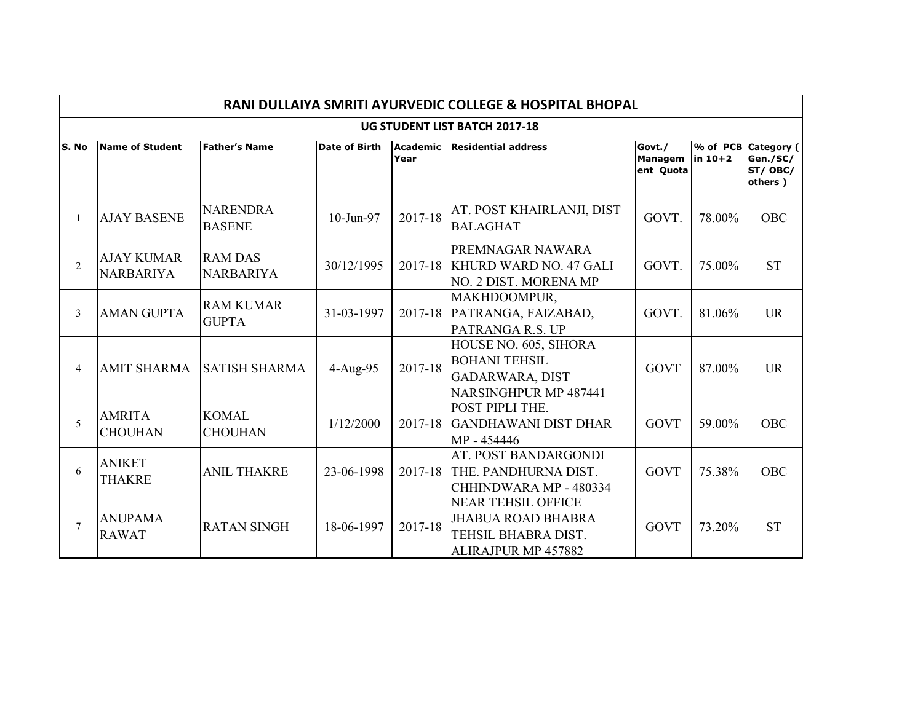|                | RANI DULLAIYA SMRITI AYURVEDIC COLLEGE & HOSPITAL BHOPAL |                                    |                      |                         |                                                                                                      |                                |         |                                                       |  |  |  |  |  |
|----------------|----------------------------------------------------------|------------------------------------|----------------------|-------------------------|------------------------------------------------------------------------------------------------------|--------------------------------|---------|-------------------------------------------------------|--|--|--|--|--|
|                |                                                          |                                    |                      |                         | UG STUDENT LIST BATCH 2017-18                                                                        |                                |         |                                                       |  |  |  |  |  |
| S. No          | <b>Name of Student</b>                                   | <b>Father's Name</b>               | <b>Date of Birth</b> | <b>Academic</b><br>Year | <b>Residential address</b>                                                                           | Govt./<br>Managem<br>ent Quota | in 10+2 | % of PCB Category (<br>Gen./SC/<br>ST/OBC/<br>others) |  |  |  |  |  |
|                | <b>AJAY BASENE</b>                                       | <b>NARENDRA</b><br><b>BASENE</b>   | 10-Jun-97            | 2017-18                 | AT. POST KHAIRLANJI, DIST<br><b>BALAGHAT</b>                                                         | GOVT.                          | 78.00%  | <b>OBC</b>                                            |  |  |  |  |  |
| $\overline{2}$ | <b>AJAY KUMAR</b><br><b>NARBARIYA</b>                    | <b>RAM DAS</b><br><b>NARBARIYA</b> | 30/12/1995           |                         | PREMNAGAR NAWARA<br>2017-18 KHURD WARD NO. 47 GALI<br>NO. 2 DIST. MORENA MP                          | GOVT.                          | 75.00%  | <b>ST</b>                                             |  |  |  |  |  |
| 3              | <b>AMAN GUPTA</b>                                        | <b>RAM KUMAR</b><br><b>GUPTA</b>   | 31-03-1997           |                         | MAKHDOOMPUR,<br>2017-18 PATRANGA, FAIZABAD,<br>PATRANGA R.S. UP                                      | GOVT.                          | 81.06%  | <b>UR</b>                                             |  |  |  |  |  |
| $\overline{4}$ | <b>AMIT SHARMA</b>                                       | <b>SATISH SHARMA</b>               | 4-Aug-95             | 2017-18                 | HOUSE NO. 605, SIHORA<br><b>BOHANI TEHSIL</b><br><b>GADARWARA, DIST</b><br>NARSINGHPUR MP 487441     | <b>GOVT</b>                    | 87.00%  | <b>UR</b>                                             |  |  |  |  |  |
| 5              | <b>AMRITA</b><br><b>CHOUHAN</b>                          | <b>KOMAL</b><br><b>CHOUHAN</b>     | 1/12/2000            | 2017-18                 | POST PIPLI THE.<br><b>GANDHAWANI DIST DHAR</b><br>MP - 454446                                        | <b>GOVT</b>                    | 59.00%  | OBC                                                   |  |  |  |  |  |
| 6              | <b>ANIKET</b><br><b>THAKRE</b>                           | <b>ANIL THAKRE</b>                 | 23-06-1998           | 2017-18                 | AT. POST BANDARGONDI<br>THE. PANDHURNA DIST.<br>CHHINDWARA MP - 480334                               | <b>GOVT</b>                    | 75.38%  | <b>OBC</b>                                            |  |  |  |  |  |
| 7              | <b>ANUPAMA</b><br><b>RAWAT</b>                           | <b>RATAN SINGH</b>                 | 18-06-1997           | 2017-18                 | <b>NEAR TEHSIL OFFICE</b><br><b>JHABUA ROAD BHABRA</b><br>TEHSIL BHABRA DIST.<br>ALIRAJPUR MP 457882 | <b>GOVT</b>                    | 73.20%  | <b>ST</b>                                             |  |  |  |  |  |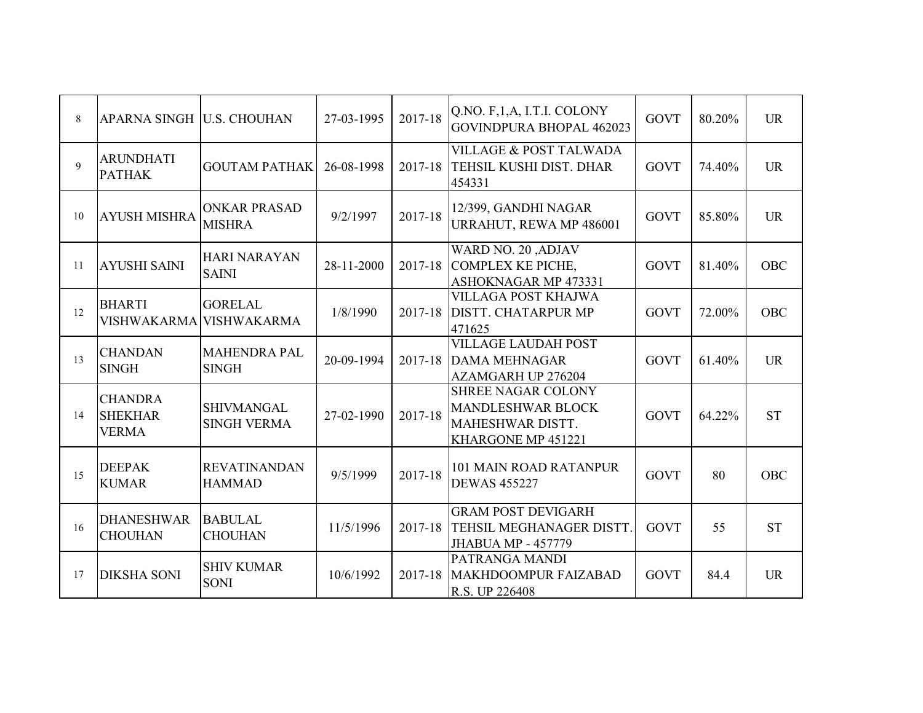| 8  | APARNA SINGH   U.S. CHOUHAN                      |                                         | 27-03-1995 | 2017-18 | Q.NO. F, 1, A, I.T.I. COLONY<br><b>GOVINDPURA BHOPAL 462023</b>                          | <b>GOVT</b> | 80.20% | <b>UR</b>  |
|----|--------------------------------------------------|-----------------------------------------|------------|---------|------------------------------------------------------------------------------------------|-------------|--------|------------|
| 9  | <b>ARUNDHATI</b><br><b>PATHAK</b>                | <b>GOUTAM PATHAK</b>                    | 26-08-1998 | 2017-18 | <b>VILLAGE &amp; POST TALWADA</b><br>TEHSIL KUSHI DIST. DHAR<br>454331                   | <b>GOVT</b> | 74.40% | <b>UR</b>  |
| 10 | <b>AYUSH MISHRA</b>                              | <b>ONKAR PRASAD</b><br><b>MISHRA</b>    | 9/2/1997   | 2017-18 | 12/399, GANDHI NAGAR<br>URRAHUT, REWA MP 486001                                          | <b>GOVT</b> | 85.80% | <b>UR</b>  |
| 11 | <b>AYUSHI SAINI</b>                              | <b>HARI NARAYAN</b><br><b>SAINI</b>     | 28-11-2000 | 2017-18 | <b>WARD NO. 20 ,ADJAV</b><br><b>COMPLEX KE PICHE,</b><br>ASHOKNAGAR MP 473331            | <b>GOVT</b> | 81.40% | <b>OBC</b> |
| 12 | <b>BHARTI</b><br><b>VISHWAKARMA</b>              | <b>GORELAL</b><br><b>VISHWAKARMA</b>    | 1/8/1990   | 2017-18 | VILLAGA POST KHAJWA<br><b>DISTT. CHATARPUR MP</b><br>471625                              | <b>GOVT</b> | 72.00% | <b>OBC</b> |
| 13 | <b>CHANDAN</b><br><b>SINGH</b>                   | <b>MAHENDRA PAL</b><br><b>SINGH</b>     | 20-09-1994 | 2017-18 | <b>VILLAGE LAUDAH POST</b><br><b>DAMA MEHNAGAR</b><br>AZAMGARH UP 276204                 | <b>GOVT</b> | 61.40% | <b>UR</b>  |
| 14 | <b>CHANDRA</b><br><b>SHEKHAR</b><br><b>VERMA</b> | <b>SHIVMANGAL</b><br><b>SINGH VERMA</b> | 27-02-1990 | 2017-18 | SHREE NAGAR COLONY<br><b>MANDLESHWAR BLOCK</b><br>MAHESHWAR DISTT.<br>KHARGONE MP 451221 | <b>GOVT</b> | 64.22% | <b>ST</b>  |
| 15 | <b>DEEPAK</b><br><b>KUMAR</b>                    | <b>REVATINANDAN</b><br><b>HAMMAD</b>    | 9/5/1999   | 2017-18 | <b>101 MAIN ROAD RATANPUR</b><br><b>DEWAS 455227</b>                                     | <b>GOVT</b> | 80     | <b>OBC</b> |
| 16 | <b>DHANESHWAR</b><br><b>CHOUHAN</b>              | <b>BABULAL</b><br><b>CHOUHAN</b>        | 11/5/1996  | 2017-18 | <b>GRAM POST DEVIGARH</b><br>TEHSIL MEGHANAGER DISTT.<br><b>JHABUA MP - 457779</b>       | <b>GOVT</b> | 55     | <b>ST</b>  |
| 17 | <b>DIKSHA SONI</b>                               | <b>SHIV KUMAR</b><br><b>SONI</b>        | 10/6/1992  | 2017-18 | PATRANGA MANDI<br>MAKHDOOMPUR FAIZABAD<br>R.S. UP 226408                                 | <b>GOVT</b> | 84.4   | <b>UR</b>  |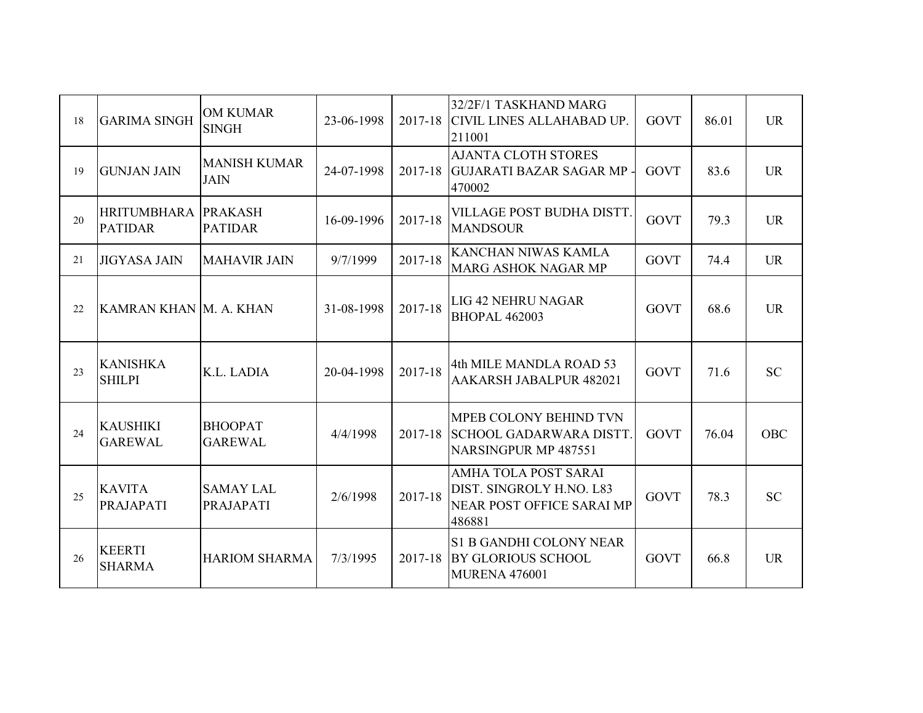| 18 | <b>GARIMA SINGH</b>               | <b>OM KUMAR</b><br><b>SINGH</b>      | 23-06-1998 | 2017-18 | 32/2F/1 TASKHAND MARG<br><b>CIVIL LINES ALLAHABAD UP.</b><br>211001                            | <b>GOVT</b> | 86.01 | <b>UR</b>  |
|----|-----------------------------------|--------------------------------------|------------|---------|------------------------------------------------------------------------------------------------|-------------|-------|------------|
| 19 | <b>GUNJAN JAIN</b>                | <b>MANISH KUMAR</b><br><b>JAIN</b>   | 24-07-1998 |         | <b>AJANTA CLOTH STORES</b><br>2017-18 GUJARATI BAZAR SAGAR MP -<br>470002                      | <b>GOVT</b> | 83.6  | <b>UR</b>  |
| 20 | HRITUMBHARA<br><b>PATIDAR</b>     | <b>PRAKASH</b><br><b>PATIDAR</b>     | 16-09-1996 | 2017-18 | VILLAGE POST BUDHA DISTT.<br><b>MANDSOUR</b>                                                   | <b>GOVT</b> | 79.3  | <b>UR</b>  |
| 21 | <b>JIGYASA JAIN</b>               | <b>MAHAVIR JAIN</b>                  | 9/7/1999   | 2017-18 | KANCHAN NIWAS KAMLA<br><b>MARG ASHOK NAGAR MP</b>                                              | <b>GOVT</b> | 74.4  | <b>UR</b>  |
| 22 | KAMRAN KHAN M. A. KHAN            |                                      | 31-08-1998 | 2017-18 | LIG 42 NEHRU NAGAR<br><b>BHOPAL 462003</b>                                                     | <b>GOVT</b> | 68.6  | <b>UR</b>  |
| 23 | <b>KANISHKA</b><br><b>SHILPI</b>  | K.L. LADIA                           | 20-04-1998 | 2017-18 | 4th MILE MANDLA ROAD 53<br>AAKARSH JABALPUR 482021                                             | <b>GOVT</b> | 71.6  | <b>SC</b>  |
| 24 | <b>KAUSHIKI</b><br><b>GAREWAL</b> | <b>BHOOPAT</b><br><b>GAREWAL</b>     | 4/4/1998   | 2017-18 | <b>MPEB COLONY BEHIND TVN</b><br><b>SCHOOL GADARWARA DISTT.</b><br><b>NARSINGPUR MP 487551</b> | <b>GOVT</b> | 76.04 | <b>OBC</b> |
| 25 | <b>KAVITA</b><br><b>PRAJAPATI</b> | <b>SAMAY LAL</b><br><b>PRAJAPATI</b> | 2/6/1998   | 2017-18 | <b>AMHA TOLA POST SARAI</b><br>DIST. SINGROLY H.NO. L83<br>NEAR POST OFFICE SARAI MP<br>486881 | <b>GOVT</b> | 78.3  | <b>SC</b>  |
| 26 | <b>KEERTI</b><br><b>SHARMA</b>    | <b>HARIOM SHARMA</b>                 | 7/3/1995   | 2017-18 | <b>S1 B GANDHI COLONY NEAR</b><br>BY GLORIOUS SCHOOL<br><b>MURENA 476001</b>                   | <b>GOVT</b> | 66.8  | <b>UR</b>  |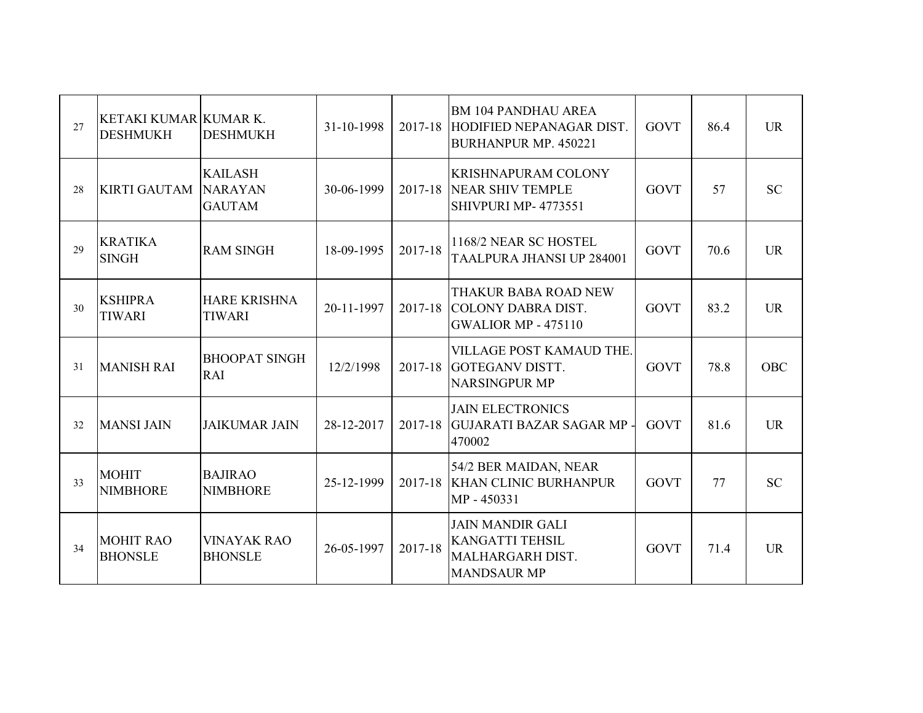| 27 | KETAKI KUMAR KUMAR K.<br><b>DESHMUKH</b> | <b>DESHMUKH</b>                                   | 31-10-1998 | 2017-18 | <b>BM 104 PANDHAU AREA</b><br>HODIFIED NEPANAGAR DIST.<br><b>BURHANPUR MP. 450221</b>       | <b>GOVT</b> | 86.4 | <b>UR</b>  |
|----|------------------------------------------|---------------------------------------------------|------------|---------|---------------------------------------------------------------------------------------------|-------------|------|------------|
| 28 | KIRTI GAUTAM                             | <b>KAILASH</b><br><b>NARAYAN</b><br><b>GAUTAM</b> | 30-06-1999 |         | <b>KRISHNAPURAM COLONY</b><br>2017-18 NEAR SHIV TEMPLE<br>SHIVPURI MP- 4773551              | <b>GOVT</b> | 57   | <b>SC</b>  |
| 29 | <b>KRATIKA</b><br><b>SINGH</b>           | <b>RAM SINGH</b>                                  | 18-09-1995 | 2017-18 | 1168/2 NEAR SC HOSTEL<br>TAALPURA JHANSI UP 284001                                          | <b>GOVT</b> | 70.6 | <b>UR</b>  |
| 30 | <b>KSHIPRA</b><br><b>TIWARI</b>          | <b>HARE KRISHNA</b><br><b>TIWARI</b>              | 20-11-1997 |         | THAKUR BABA ROAD NEW<br>2017-18 COLONY DABRA DIST.<br><b>GWALIOR MP - 475110</b>            | <b>GOVT</b> | 83.2 | <b>UR</b>  |
| 31 | <b>MANISH RAI</b>                        | <b>BHOOPAT SINGH</b><br>RAI                       | 12/2/1998  | 2017-18 | VILLAGE POST KAMAUD THE.<br><b>GOTEGANV DISTT.</b><br><b>NARSINGPUR MP</b>                  | <b>GOVT</b> | 78.8 | <b>OBC</b> |
| 32 | <b>MANSI JAIN</b>                        | <b>JAIKUMAR JAIN</b>                              | 28-12-2017 | 2017-18 | <b>JAIN ELECTRONICS</b><br><b>GUJARATI BAZAR SAGAR MP -</b><br>470002                       | <b>GOVT</b> | 81.6 | <b>UR</b>  |
| 33 | <b>MOHIT</b><br><b>NIMBHORE</b>          | <b>BAJIRAO</b><br><b>NIMBHORE</b>                 | 25-12-1999 |         | 54/2 BER MAIDAN, NEAR<br>2017-18 KHAN CLINIC BURHANPUR<br>MP - 450331                       | <b>GOVT</b> | 77   | <b>SC</b>  |
| 34 | <b>MOHIT RAO</b><br><b>BHONSLE</b>       | <b>VINAYAK RAO</b><br><b>BHONSLE</b>              | 26-05-1997 | 2017-18 | <b>JAIN MANDIR GALI</b><br><b>KANGATTI TEHSIL</b><br>MALHARGARH DIST.<br><b>MANDSAUR MP</b> | <b>GOVT</b> | 71.4 | <b>UR</b>  |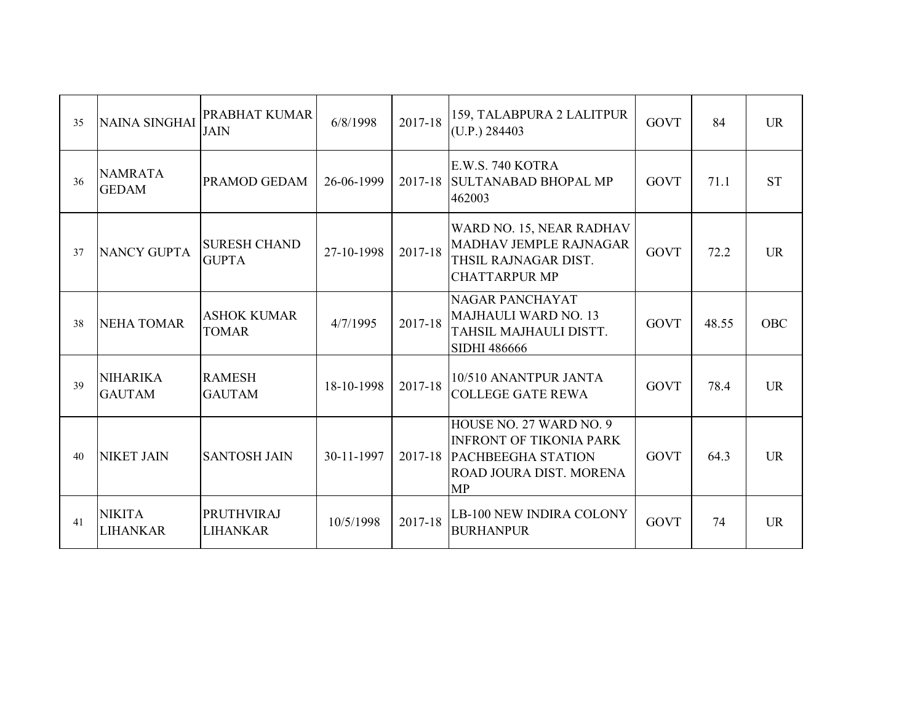| 35 | <b>NAINA SINGHAI</b>             | PRABHAT KUMAR<br><b>JAIN</b>         | 6/8/1998   | 2017-18 | 159, TALABPURA 2 LALITPUR<br>(U.P.) 284403                                                                                      | <b>GOVT</b> | 84    | <b>UR</b>  |
|----|----------------------------------|--------------------------------------|------------|---------|---------------------------------------------------------------------------------------------------------------------------------|-------------|-------|------------|
| 36 | <b>NAMRATA</b><br><b>GEDAM</b>   | <b>PRAMOD GEDAM</b>                  | 26-06-1999 |         | E.W.S. 740 KOTRA<br>2017-18 SULTANABAD BHOPAL MP<br>462003                                                                      | <b>GOVT</b> | 71.1  | <b>ST</b>  |
| 37 | <b>NANCY GUPTA</b>               | <b>SURESH CHAND</b><br><b>GUPTA</b>  | 27-10-1998 | 2017-18 | WARD NO. 15, NEAR RADHAV<br><b>MADHAV JEMPLE RAJNAGAR</b><br>THSIL RAJNAGAR DIST.<br><b>CHATTARPUR MP</b>                       | <b>GOVT</b> | 72.2  | <b>UR</b>  |
| 38 | <b>NEHA TOMAR</b>                | <b>ASHOK KUMAR</b><br><b>TOMAR</b>   | 4/7/1995   | 2017-18 | <b>NAGAR PANCHAYAT</b><br>MAJHAULI WARD NO. 13<br>TAHSIL MAJHAULI DISTT.<br><b>SIDHI 486666</b>                                 | <b>GOVT</b> | 48.55 | <b>OBC</b> |
| 39 | <b>NIHARIKA</b><br><b>GAUTAM</b> | <b>RAMESH</b><br><b>GAUTAM</b>       | 18-10-1998 | 2017-18 | 10/510 ANANTPUR JANTA<br><b>COLLEGE GATE REWA</b>                                                                               | <b>GOVT</b> | 78.4  | <b>UR</b>  |
| 40 | <b>NIKET JAIN</b>                | <b>SANTOSH JAIN</b>                  | 30-11-1997 |         | HOUSE NO. 27 WARD NO. 9<br><b>INFRONT OF TIKONIA PARK</b><br>2017-18 PACHBEEGHA STATION<br>ROAD JOURA DIST. MORENA<br><b>MP</b> | <b>GOVT</b> | 64.3  | <b>UR</b>  |
| 41 | <b>NIKITA</b><br><b>LIHANKAR</b> | <b>PRUTHVIRAJ</b><br><b>LIHANKAR</b> | 10/5/1998  | 2017-18 | LB-100 NEW INDIRA COLONY<br><b>BURHANPUR</b>                                                                                    | <b>GOVT</b> | 74    | <b>UR</b>  |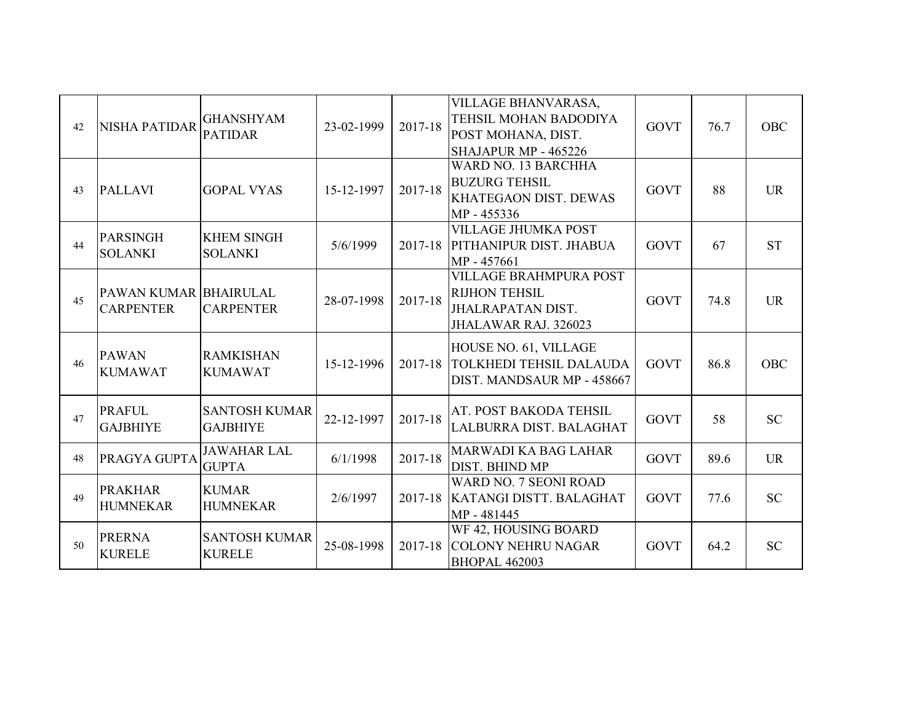| 42 | <b>NISHA PATIDAR</b>                      | <b>GHANSHYAM</b><br><b>PATIDAR</b>      | 23-02-1999 | 2017-18 | VILLAGE BHANVARASA,<br>TEHSIL MOHAN BADODIYA<br>POST MOHANA, DIST.<br>SHAJAPUR MP - 465226         | <b>GOVT</b> | 76.7 | <b>OBC</b> |
|----|-------------------------------------------|-----------------------------------------|------------|---------|----------------------------------------------------------------------------------------------------|-------------|------|------------|
| 43 | <b>PALLAVI</b>                            | <b>GOPAL VYAS</b>                       | 15-12-1997 | 2017-18 | WARD NO. 13 BARCHHA<br><b>BUZURG TEHSIL</b><br>KHATEGAON DIST. DEWAS<br>MP - 455336                | <b>GOVT</b> | 88   | <b>UR</b>  |
| 44 | <b>PARSINGH</b><br><b>SOLANKI</b>         | <b>KHEM SINGH</b><br><b>SOLANKI</b>     | 5/6/1999   |         | <b>VILLAGE JHUMKA POST</b><br>2017-18 PITHANIPUR DIST. JHABUA<br>MP - 457661                       | <b>GOVT</b> | 67   | <b>ST</b>  |
| 45 | PAWAN KUMAR BHAIRULAL<br><b>CARPENTER</b> | <b>CARPENTER</b>                        | 28-07-1998 | 2017-18 | <b>VILLAGE BRAHMPURA POST</b><br><b>RIJHON TEHSIL</b><br>JHALRAPATAN DIST.<br>JHALAWAR RAJ. 326023 | <b>GOVT</b> | 74.8 | <b>UR</b>  |
| 46 | <b>PAWAN</b><br><b>KUMAWAT</b>            | <b>RAMKISHAN</b><br><b>KUMAWAT</b>      | 15-12-1996 | 2017-18 | HOUSE NO. 61, VILLAGE<br>TOLKHEDI TEHSIL DALAUDA<br>DIST. MANDSAUR MP - 458667                     | <b>GOVT</b> | 86.8 | <b>OBC</b> |
| 47 | <b>PRAFUL</b><br><b>GAJBHIYE</b>          | <b>SANTOSH KUMAR</b><br><b>GAJBHIYE</b> | 22-12-1997 | 2017-18 | AT. POST BAKODA TEHSIL<br>LALBURRA DIST. BALAGHAT                                                  | <b>GOVT</b> | 58   | <b>SC</b>  |
| 48 | PRAGYA GUPTA                              | <b>JAWAHAR LAL</b><br><b>GUPTA</b>      | 6/1/1998   | 2017-18 | MARWADI KA BAG LAHAR<br>DIST. BHIND MP                                                             | <b>GOVT</b> | 89.6 | <b>UR</b>  |
| 49 | <b>PRAKHAR</b><br><b>HUMNEKAR</b>         | <b>KUMAR</b><br><b>HUMNEKAR</b>         | 2/6/1997   |         | WARD NO. 7 SEONI ROAD<br>2017-18 KATANGI DISTT. BALAGHAT<br>MP - 481445                            | <b>GOVT</b> | 77.6 | <b>SC</b>  |
| 50 | <b>PRERNA</b><br><b>KURELE</b>            | <b>SANTOSH KUMAR</b><br><b>KURELE</b>   | 25-08-1998 | 2017-18 | WF 42, HOUSING BOARD<br><b>COLONY NEHRU NAGAR</b><br><b>BHOPAL 462003</b>                          | <b>GOVT</b> | 64.2 | <b>SC</b>  |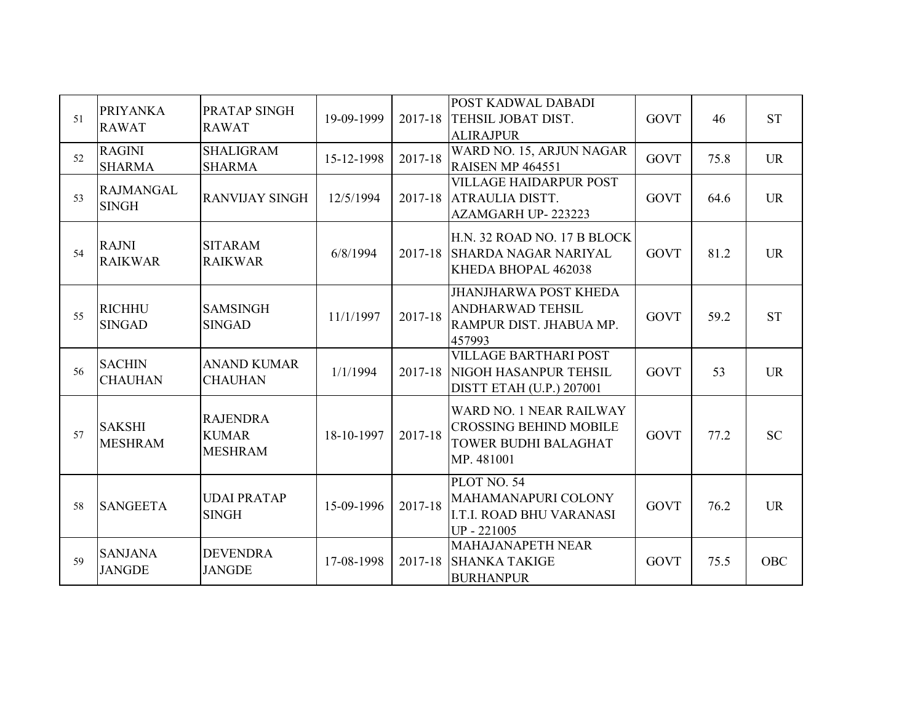| 51 | <b>PRIYANKA</b><br><b>RAWAT</b>  | PRATAP SINGH<br><b>RAWAT</b>                      | 19-09-1999 | 2017-18 | POST KADWAL DABADI<br>TEHSIL JOBAT DIST.<br><b>ALIRAJPUR</b>                                   | <b>GOVT</b> | 46   | <b>ST</b>  |
|----|----------------------------------|---------------------------------------------------|------------|---------|------------------------------------------------------------------------------------------------|-------------|------|------------|
| 52 | <b>RAGINI</b><br><b>SHARMA</b>   | <b>SHALIGRAM</b><br><b>SHARMA</b>                 | 15-12-1998 | 2017-18 | WARD NO. 15, ARJUN NAGAR<br><b>RAISEN MP 464551</b>                                            | <b>GOVT</b> | 75.8 | <b>UR</b>  |
| 53 | <b>RAJMANGAL</b><br><b>SINGH</b> | <b>RANVIJAY SINGH</b>                             | 12/5/1994  | 2017-18 | <b>VILLAGE HAIDARPUR POST</b><br>ATRAULIA DISTT.<br>AZAMGARH UP-223223                         | <b>GOVT</b> | 64.6 | <b>UR</b>  |
| 54 | <b>RAJNI</b><br><b>RAIKWAR</b>   | <b>SITARAM</b><br><b>RAIKWAR</b>                  | 6/8/1994   | 2017-18 | H.N. 32 ROAD NO. 17 B BLOCK<br><b>SHARDA NAGAR NARIYAL</b><br>KHEDA BHOPAL 462038              | <b>GOVT</b> | 81.2 | <b>UR</b>  |
| 55 | <b>RICHHU</b><br><b>SINGAD</b>   | <b>SAMSINGH</b><br><b>SINGAD</b>                  | 11/1/1997  | 2017-18 | <b>JHANJHARWA POST KHEDA</b><br><b>ANDHARWAD TEHSIL</b><br>RAMPUR DIST. JHABUA MP.<br>457993   | <b>GOVT</b> | 59.2 | <b>ST</b>  |
| 56 | <b>SACHIN</b><br><b>CHAUHAN</b>  | <b>ANAND KUMAR</b><br><b>CHAUHAN</b>              | 1/1/1994   | 2017-18 | <b>VILLAGE BARTHARI POST</b><br>NIGOH HASANPUR TEHSIL<br><b>DISTT ETAH (U.P.) 207001</b>       | <b>GOVT</b> | 53   | <b>UR</b>  |
| 57 | <b>SAKSHI</b><br><b>MESHRAM</b>  | <b>RAJENDRA</b><br><b>KUMAR</b><br><b>MESHRAM</b> | 18-10-1997 | 2017-18 | WARD NO. 1 NEAR RAILWAY<br><b>CROSSING BEHIND MOBILE</b><br>TOWER BUDHI BALAGHAT<br>MP. 481001 | <b>GOVT</b> | 77.2 | <b>SC</b>  |
| 58 | <b>SANGEETA</b>                  | <b>UDAI PRATAP</b><br><b>SINGH</b>                | 15-09-1996 | 2017-18 | PLOT NO. 54<br>MAHAMANAPURI COLONY<br><b>I.T.I. ROAD BHU VARANASI</b><br>UP-221005             | <b>GOVT</b> | 76.2 | <b>UR</b>  |
| 59 | <b>SANJANA</b><br><b>JANGDE</b>  | <b>DEVENDRA</b><br><b>JANGDE</b>                  | 17-08-1998 | 2017-18 | MAHAJANAPETH NEAR<br><b>SHANKA TAKIGE</b><br><b>BURHANPUR</b>                                  | <b>GOVT</b> | 75.5 | <b>OBC</b> |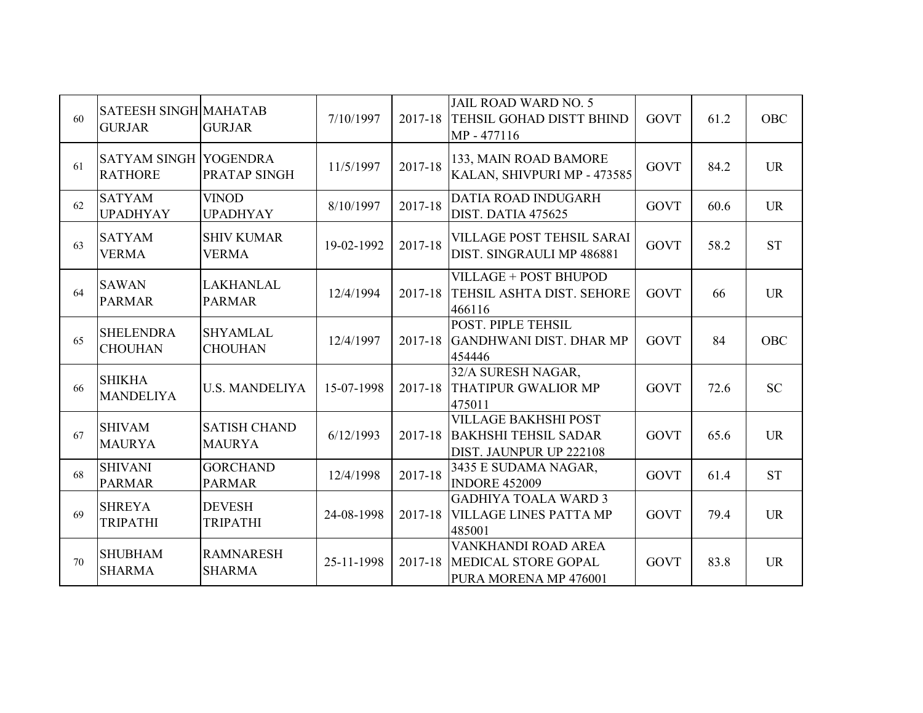| 60 | <b>SATEESH SINGH MAHATAB</b><br><b>GURJAR</b>  | <b>GURJAR</b>                        | 7/10/1997  | 2017-18     | <b>JAIL ROAD WARD NO. 5</b><br>TEHSIL GOHAD DISTT BHIND<br>MP - 477116                | <b>GOVT</b> | 61.2 | <b>OBC</b> |
|----|------------------------------------------------|--------------------------------------|------------|-------------|---------------------------------------------------------------------------------------|-------------|------|------------|
| 61 | <b>SATYAM SINGH YOGENDRA</b><br><b>RATHORE</b> | PRATAP SINGH                         | 11/5/1997  | 2017-18     | 133, MAIN ROAD BAMORE<br>KALAN, SHIVPURI MP - 473585                                  | <b>GOVT</b> | 84.2 | <b>UR</b>  |
| 62 | <b>SATYAM</b><br><b>UPADHYAY</b>               | <b>VINOD</b><br><b>UPADHYAY</b>      | 8/10/1997  | 2017-18     | DATIA ROAD INDUGARH<br>DIST. DATIA 475625                                             | <b>GOVT</b> | 60.6 | <b>UR</b>  |
| 63 | <b>SATYAM</b><br><b>VERMA</b>                  | <b>SHIV KUMAR</b><br><b>VERMA</b>    | 19-02-1992 | 2017-18     | <b>VILLAGE POST TEHSIL SARAI</b><br>DIST. SINGRAULI MP 486881                         | <b>GOVT</b> | 58.2 | <b>ST</b>  |
| 64 | <b>SAWAN</b><br><b>PARMAR</b>                  | <b>LAKHANLAL</b><br><b>PARMAR</b>    | 12/4/1994  | 2017-18     | VILLAGE + POST BHUPOD<br>TEHSIL ASHTA DIST. SEHORE<br>466116                          | <b>GOVT</b> | 66   | <b>UR</b>  |
| 65 | <b>SHELENDRA</b><br><b>CHOUHAN</b>             | <b>SHYAMLAL</b><br><b>CHOUHAN</b>    | 12/4/1997  | 2017-18     | POST. PIPLE TEHSIL<br><b>GANDHWANI DIST. DHAR MP</b><br>454446                        | <b>GOVT</b> | 84   | <b>OBC</b> |
| 66 | <b>SHIKHA</b><br><b>MANDELIYA</b>              | <b>U.S. MANDELIYA</b>                | 15-07-1998 | $2017 - 18$ | 32/A SURESH NAGAR,<br><b>THATIPUR GWALIOR MP</b><br>475011                            | <b>GOVT</b> | 72.6 | <b>SC</b>  |
| 67 | <b>SHIVAM</b><br><b>MAURYA</b>                 | <b>SATISH CHAND</b><br><b>MAURYA</b> | 6/12/1993  | 2017-18     | <b>VILLAGE BAKHSHI POST</b><br><b>BAKHSHI TEHSIL SADAR</b><br>DIST. JAUNPUR UP 222108 | <b>GOVT</b> | 65.6 | <b>UR</b>  |
| 68 | <b>SHIVANI</b><br><b>PARMAR</b>                | <b>GORCHAND</b><br><b>PARMAR</b>     | 12/4/1998  | 2017-18     | 3435 E SUDAMA NAGAR,<br><b>INDORE 452009</b>                                          | <b>GOVT</b> | 61.4 | <b>ST</b>  |
| 69 | <b>SHREYA</b><br><b>TRIPATHI</b>               | <b>DEVESH</b><br><b>TRIPATHI</b>     | 24-08-1998 | 2017-18     | <b>GADHIYA TOALA WARD 3</b><br><b>VILLAGE LINES PATTA MP</b><br>485001                | <b>GOVT</b> | 79.4 | <b>UR</b>  |
| 70 | <b>SHUBHAM</b><br><b>SHARMA</b>                | <b>RAMNARESH</b><br><b>SHARMA</b>    | 25-11-1998 | 2017-18     | VANKHANDI ROAD AREA<br>MEDICAL STORE GOPAL<br>PURA MORENA MP 476001                   | <b>GOVT</b> | 83.8 | <b>UR</b>  |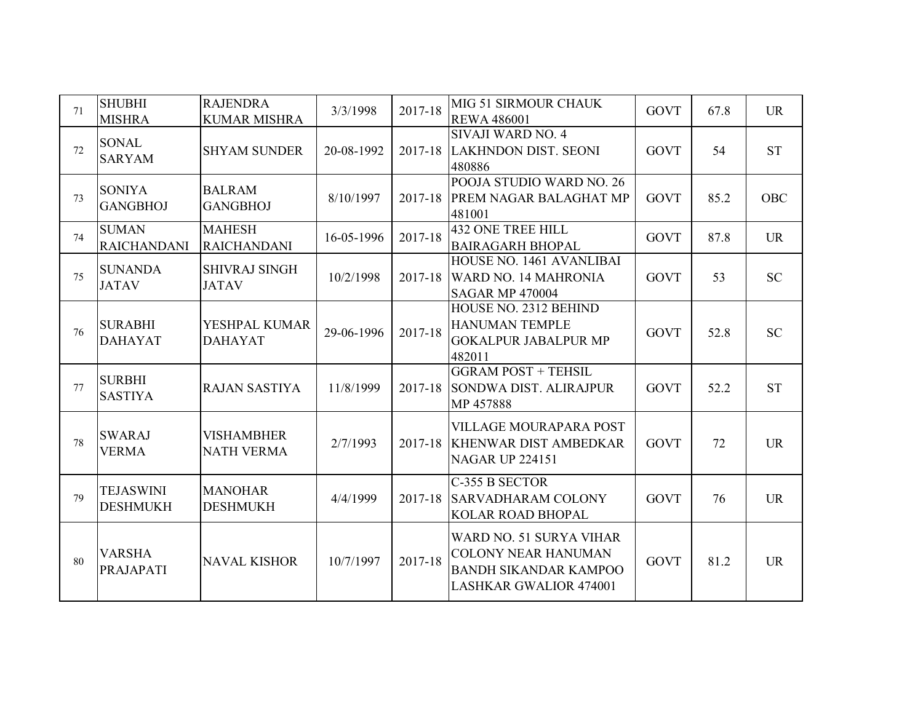| 71 | <b>SHUBHI</b><br><b>MISHRA</b>      | <b>RAJENDRA</b><br><b>KUMAR MISHRA</b> | 3/3/1998   | 2017-18 | MIG 51 SIRMOUR CHAUK<br><b>REWA 486001</b>                                                                             | <b>GOVT</b> | 67.8 | <b>UR</b>  |
|----|-------------------------------------|----------------------------------------|------------|---------|------------------------------------------------------------------------------------------------------------------------|-------------|------|------------|
| 72 | <b>SONAL</b><br><b>SARYAM</b>       | <b>SHYAM SUNDER</b>                    | 20-08-1992 | 2017-18 | SIVAJI WARD NO. 4<br><b>LAKHNDON DIST. SEONI</b><br>480886                                                             | <b>GOVT</b> | 54   | <b>ST</b>  |
| 73 | <b>SONIYA</b><br><b>GANGBHOJ</b>    | <b>BALRAM</b><br><b>GANGBHOJ</b>       | 8/10/1997  | 2017-18 | POOJA STUDIO WARD NO. 26<br>PREM NAGAR BALAGHAT MP<br>481001                                                           | <b>GOVT</b> | 85.2 | <b>OBC</b> |
| 74 | <b>SUMAN</b><br><b>RAICHANDANI</b>  | <b>MAHESH</b><br><b>RAICHANDANI</b>    | 16-05-1996 | 2017-18 | <b>432 ONE TREE HILL</b><br><b>BAIRAGARH BHOPAL</b>                                                                    | <b>GOVT</b> | 87.8 | <b>UR</b>  |
| 75 | <b>SUNANDA</b><br><b>JATAV</b>      | <b>SHIVRAJ SINGH</b><br><b>JATAV</b>   | 10/2/1998  | 2017-18 | HOUSE NO. 1461 AVANLIBAI<br>WARD NO. 14 MAHRONIA<br><b>SAGAR MP 470004</b>                                             | <b>GOVT</b> | 53   | <b>SC</b>  |
| 76 | <b>SURABHI</b><br><b>DAHAYAT</b>    | YESHPAL KUMAR<br><b>DAHAYAT</b>        | 29-06-1996 | 2017-18 | HOUSE NO. 2312 BEHIND<br><b>HANUMAN TEMPLE</b><br><b>GOKALPUR JABALPUR MP</b><br>482011                                | <b>GOVT</b> | 52.8 | <b>SC</b>  |
| 77 | <b>SURBHI</b><br><b>SASTIYA</b>     | <b>RAJAN SASTIYA</b>                   | 11/8/1999  | 2017-18 | <b>GGRAM POST + TEHSIL</b><br>SONDWA DIST. ALIRAJPUR<br>MP 457888                                                      | <b>GOVT</b> | 52.2 | <b>ST</b>  |
| 78 | <b>SWARAJ</b><br><b>VERMA</b>       | <b>VISHAMBHER</b><br><b>NATH VERMA</b> | 2/7/1993   |         | <b>VILLAGE MOURAPARA POST</b><br>2017-18 KHENWAR DIST AMBEDKAR<br><b>NAGAR UP 224151</b>                               | <b>GOVT</b> | 72   | <b>UR</b>  |
| 79 | <b>TEJASWINI</b><br><b>DESHMUKH</b> | <b>MANOHAR</b><br><b>DESHMUKH</b>      | 4/4/1999   | 2017-18 | C-355 B SECTOR<br><b>SARVADHARAM COLONY</b><br><b>KOLAR ROAD BHOPAL</b>                                                | <b>GOVT</b> | 76   | <b>UR</b>  |
| 80 | <b>VARSHA</b><br><b>PRAJAPATI</b>   | <b>NAVAL KISHOR</b>                    | 10/7/1997  | 2017-18 | WARD NO. 51 SURYA VIHAR<br><b>COLONY NEAR HANUMAN</b><br><b>BANDH SIKANDAR KAMPOO</b><br><b>LASHKAR GWALIOR 474001</b> | <b>GOVT</b> | 81.2 | <b>UR</b>  |